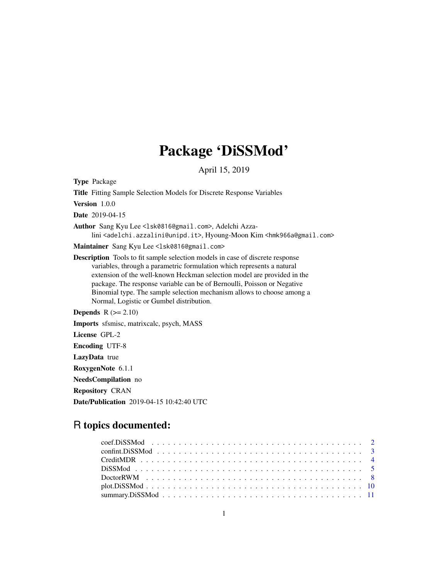# Package 'DiSSMod'

April 15, 2019

<span id="page-0-0"></span>Type Package

Title Fitting Sample Selection Models for Discrete Response Variables

Version 1.0.0

Date 2019-04-15

Author Sang Kyu Lee <lsk0816@gmail.com>, Adelchi Azzalini <adelchi.azzalini@unipd.it>, Hyoung-Moon Kim <hmk966a@gmail.com>

Maintainer Sang Kyu Lee <lsk0816@gmail.com>

Description Tools to fit sample selection models in case of discrete response variables, through a parametric formulation which represents a natural extension of the well-known Heckman selection model are provided in the package. The response variable can be of Bernoulli, Poisson or Negative Binomial type. The sample selection mechanism allows to choose among a Normal, Logistic or Gumbel distribution.

**Depends**  $R$  ( $>= 2.10$ )

Imports sfsmisc, matrixcalc, psych, MASS

License GPL-2

Encoding UTF-8

LazyData true

RoxygenNote 6.1.1

NeedsCompilation no

Repository CRAN

Date/Publication 2019-04-15 10:42:40 UTC

# R topics documented: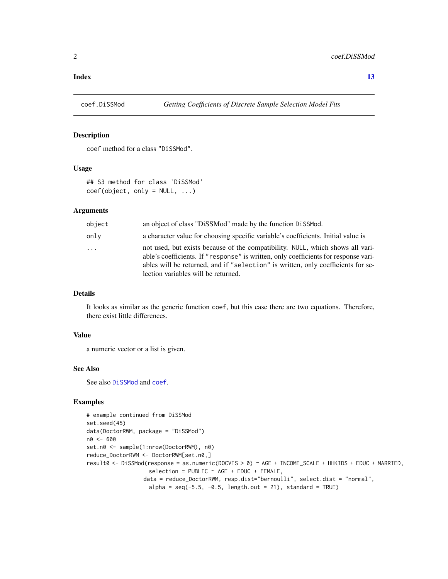#### <span id="page-1-0"></span>**Index** [13](#page-12-0)

<span id="page-1-1"></span>

#### Description

coef method for a class "DiSSMod".

# Usage

```
## S3 method for class 'DiSSMod'
coef(object, only = NULL, ...)
```
#### Arguments

| object | an object of class "DiSSMod" made by the function DiSSMod.                                                                                                                                                                                                                                       |
|--------|--------------------------------------------------------------------------------------------------------------------------------------------------------------------------------------------------------------------------------------------------------------------------------------------------|
| onlv   | a character value for choosing specific variable's coefficients. Initial value is                                                                                                                                                                                                                |
| .      | not used, but exists because of the compatibility. NULL, which shows all vari-<br>able's coefficients. If "response" is written, only coefficients for response vari-<br>ables will be returned, and if "selection" is written, only coefficients for se-<br>lection variables will be returned. |

# Details

It looks as similar as the generic function coef, but this case there are two equations. Therefore, there exist little differences.

#### Value

a numeric vector or a list is given.

#### See Also

See also [DiSSMod](#page-4-1) and [coef](#page-0-0).

# Examples

```
# example continued from DiSSMod
set.seed(45)
data(DoctorRWM, package = "DiSSMod")
n0 <- 600
set.n0 <- sample(1:nrow(DoctorRWM), n0)
reduce_DoctorRWM <- DoctorRWM[set.n0,]
result0 <- DiSSMod(response = as.numeric(DOCVIS > 0) ~ AGE + INCOME_SCALE + HHKIDS + EDUC + MARRIED,
                   selection = PUBLIC \sim AGE + EDUC + FEMALE,data = reduce_DoctorRWM, resp.dist="bernoulli", select.dist = "normal",
                   alpha = seq(-5.5, -0.5, length.out = 21), standard = TRUE)
```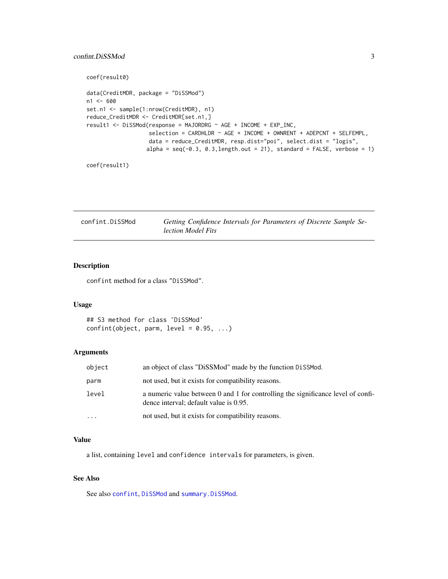# <span id="page-2-0"></span>confint.DiSSMod 3

```
coef(result0)
data(CreditMDR, package = "DiSSMod")
n1 < -600set.n1 <- sample(1:nrow(CreditMDR), n1)
reduce_CreditMDR <- CreditMDR[set.n1,]
result1 <- DiSSMod(response = MAJORDRG ~ AGE + INCOME + EXP_INC,
                  selection = CARDHLDR ~ AGE + INCOME + OWNRENT + ADEPCNT + SELFEMPL,data = reduce_CreditMDR, resp.dist="poi", select.dist = "logis",
                  alpha = seq(-0.3, 0.3, length.out = 21), standard = FALSE, verbose = 1)
```

```
coef(result1)
```
<span id="page-2-1"></span>confint.DiSSMod *Getting Confidence Intervals for Parameters of Discrete Sample Selection Model Fits*

# Description

confint method for a class "DiSSMod".

#### Usage

```
## S3 method for class 'DiSSMod'
confint(object, parm, level = 0.95, ...)
```
### Arguments

| object    | an object of class "DiSSMod" made by the function DiSSMod.                                                                 |
|-----------|----------------------------------------------------------------------------------------------------------------------------|
| parm      | not used, but it exists for compatibility reasons.                                                                         |
| level     | a numeric value between 0 and 1 for controlling the significance level of confi-<br>dence interval; default value is 0.95. |
| $\ddotsc$ | not used, but it exists for compatibility reasons.                                                                         |

# Value

a list, containing level and confidence intervals for parameters, is given.

# See Also

See also [confint](#page-0-0), [DiSSMod](#page-4-1) and [summary.DiSSMod](#page-10-1).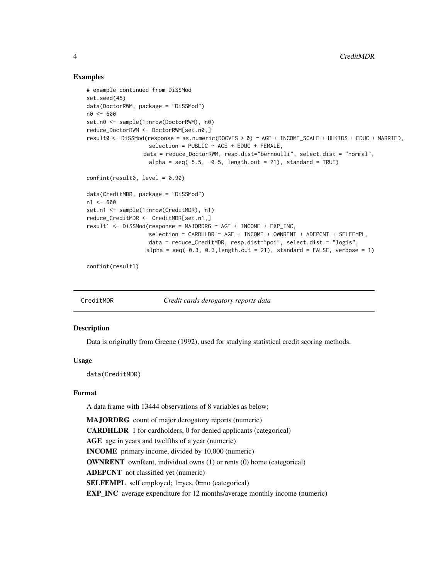# Examples

```
# example continued from DiSSMod
set.seed(45)
data(DoctorRWM, package = "DiSSMod")
n0 < -600set.n0 <- sample(1:nrow(DoctorRWM), n0)
reduce_DoctorRWM <- DoctorRWM[set.n0,]
result0 <- DiSSMod(response = as.numeric(DOCVIS > 0) ~ AGE + INCOME_SCALE + HHKIDS + EDUC + MARRIED,
                   selection = PUBLIC ~ AGE + EDUC + FEMALE,data = reduce_DoctorRWM, resp.dist="bernoulli", select.dist = "normal",
                   alpha = seq(-5.5, -0.5, length.out = 21), standard = TRUE)
confint(result0, level = 0.90)
data(CreditMDR, package = "DiSSMod")
n1 < -600set.n1 <- sample(1:nrow(CreditMDR), n1)
reduce_CreditMDR <- CreditMDR[set.n1,]
result1 <- DiSSMod(response = MAJORDRG ~ AGE + INCOME + EXP_INC,
                   selection = CARDHLDR \sim AGE + INCOME + OWNRENT + ADEPCNT + SELFEMPL,
                   data = reduce_CreditMDR, resp.dist="poi", select.dist = "logis",
                  alpha = seq(-0.3, 0.3, length.out = 21), standard = FALSE, verbose = 1)
```
confint(result1)

CreditMDR *Credit cards derogatory reports data*

#### Description

Data is originally from Greene (1992), used for studying statistical credit scoring methods.

### Usage

data(CreditMDR)

#### Format

A data frame with 13444 observations of 8 variables as below;

MAJORDRG count of major derogatory reports (numeric) CARDHLDR 1 for cardholders, 0 for denied applicants (categorical) AGE age in years and twelfths of a year (numeric) INCOME primary income, divided by 10,000 (numeric) OWNRENT ownRent, individual owns (1) or rents (0) home (categorical) ADEPCNT not classified yet (numeric) SELFEMPL self employed; 1=yes, 0=no (categorical) EXP\_INC average expenditure for 12 months/average monthly income (numeric)

<span id="page-3-0"></span>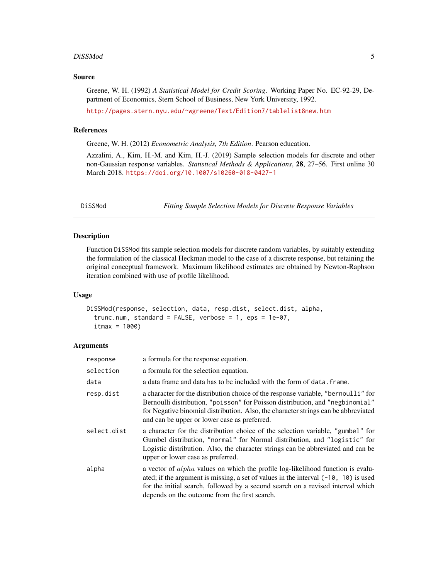#### <span id="page-4-0"></span>DiSSMod 5

#### Source

Greene, W. H. (1992) *A Statistical Model for Credit Scoring*. Working Paper No. EC-92-29, Department of Economics, Stern School of Business, New York University, 1992.

<http://pages.stern.nyu.edu/~wgreene/Text/Edition7/tablelist8new.htm>

# References

Greene, W. H. (2012) *Econometric Analysis, 7th Edition*. Pearson education.

Azzalini, A., Kim, H.-M. and Kim, H.-J. (2019) Sample selection models for discrete and other non-Gaussian response variables. *Statistical Methods & Applications*, 28, 27–56. First online 30 March 2018. <https://doi.org/10.1007/s10260-018-0427-1>

<span id="page-4-1"></span>DiSSMod *Fitting Sample Selection Models for Discrete Response Variables*

### Description

Function DiSSMod fits sample selection models for discrete random variables, by suitably extending the formulation of the classical Heckman model to the case of a discrete response, but retaining the original conceptual framework. Maximum likelihood estimates are obtained by Newton-Raphson iteration combined with use of profile likelihood.

#### Usage

```
DiSSMod(response, selection, data, resp.dist, select.dist, alpha,
  trunc.num, standard = FALSE, verbose = 1, eps = 1e-07,
  itmax = 1000
```
#### Arguments

| response    | a formula for the response equation.                                                                                                                                                                                                                                                                                |
|-------------|---------------------------------------------------------------------------------------------------------------------------------------------------------------------------------------------------------------------------------------------------------------------------------------------------------------------|
| selection   | a formula for the selection equation.                                                                                                                                                                                                                                                                               |
| data        | a data frame and data has to be included with the form of data. frame.                                                                                                                                                                                                                                              |
| resp.dist   | a character for the distribution choice of the response variable, "bernoulli" for<br>Bernoulli distribution, "poisson" for Poisson distribution, and "negbinomial"<br>for Negative binomial distribution. Also, the character strings can be abbreviated<br>and can be upper or lower case as preferred.            |
| select.dist | a character for the distribution choice of the selection variable, "gumbel" for<br>Gumbel distribution, "normal" for Normal distribution, and "logistic" for<br>Logistic distribution. Also, the character strings can be abbreviated and can be<br>upper or lower case as preferred.                               |
| alpha       | a vector of <i>alpha</i> values on which the profile log-likelihood function is evalu-<br>ated; if the argument is missing, a set of values in the interval $(-10, 10)$ is used<br>for the initial search, followed by a second search on a revised interval which<br>depends on the outcome from the first search. |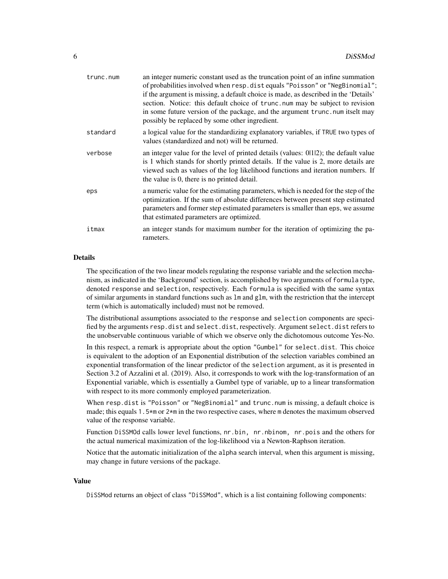| trunc.num | an integer numeric constant used as the truncation point of an infine summation<br>of probabilities involved when resp.dist equals "Poisson" or "NegBinomial";<br>if the argument is missing, a default choice is made, as described in the 'Details'<br>section. Notice: this default choice of trunc.num may be subject to revision<br>in some future version of the package, and the argument trunc.num itselt may<br>possibly be replaced by some other ingredient. |
|-----------|-------------------------------------------------------------------------------------------------------------------------------------------------------------------------------------------------------------------------------------------------------------------------------------------------------------------------------------------------------------------------------------------------------------------------------------------------------------------------|
| standard  | a logical value for the standardizing explanatory variables, if TRUE two types of<br>values (standardized and not) will be returned.                                                                                                                                                                                                                                                                                                                                    |
| verbose   | an integer value for the level of printed details (values: 0112); the default value<br>is 1 which stands for shortly printed details. If the value is 2, more details are<br>viewed such as values of the log likelihood functions and iteration numbers. If<br>the value is 0, there is no printed detail.                                                                                                                                                             |
| eps       | a numeric value for the estimating parameters, which is needed for the step of the<br>optimization. If the sum of absolute differences between present step estimated<br>parameters and former step estimated parameters is smaller than eps, we assume<br>that estimated parameters are optimized.                                                                                                                                                                     |
| itmax     | an integer stands for maximum number for the iteration of optimizing the pa-<br>rameters.                                                                                                                                                                                                                                                                                                                                                                               |
|           |                                                                                                                                                                                                                                                                                                                                                                                                                                                                         |

# Details

The specification of the two linear models regulating the response variable and the selection mechanism, as indicated in the 'Background' section, is accomplished by two arguments of formula type, denoted response and selection, respectively. Each formula is specified with the same syntax of similar arguments in standard functions such as lm and glm, with the restriction that the intercept term (which is automatically included) must not be removed.

The distributional assumptions associated to the response and selection components are specified by the arguments resp.dist and select.dist, respectively. Argument select.dist refers to the unobservable continuous variable of which we observe only the dichotomous outcome Yes-No.

In this respect, a remark is appropriate about the option "Gumbel" for select.dist. This choice is equivalent to the adoption of an Exponential distribution of the selection variables combined an exponential transformation of the linear predictor of the selection argument, as it is presented in Section 3.2 of Azzalini et al. (2019). Also, it corresponds to work with the log-transformation of an Exponential variable, which is essentially a Gumbel type of variable, up to a linear transformation with respect to its more commonly employed parameterization.

When resp.dist is "Poisson" or "NegBinomial" and trunc.num is missing, a default choice is made; this equals 1.5\*m or 2\*m in the two respective cases, where m denotes the maximum observed value of the response variable.

Function DiSSMOd calls lower level functions, nr.bin, nr.nbinom, nr.pois and the others for the actual numerical maximization of the log-likelihood via a Newton-Raphson iteration.

Notice that the automatic initialization of the alpha search interval, when this argument is missing, may change in future versions of the package.

#### Value

DiSSMod returns an object of class "DiSSMod", which is a list containing following components: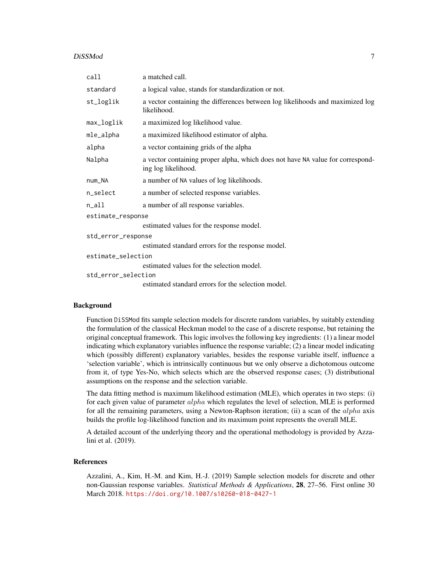#### DiSSMod 7

| call                | a matched call.                                                                                       |  |  |  |  |  |
|---------------------|-------------------------------------------------------------------------------------------------------|--|--|--|--|--|
| standard            | a logical value, stands for standardization or not.                                                   |  |  |  |  |  |
| st_loglik           | a vector containing the differences between log likelihoods and maximized log<br>likelihood.          |  |  |  |  |  |
| max_loglik          | a maximized log likelihood value.                                                                     |  |  |  |  |  |
| mle_alpha           | a maximized likelihood estimator of alpha.                                                            |  |  |  |  |  |
| alpha               | a vector containing grids of the alpha                                                                |  |  |  |  |  |
| Nalpha              | a vector containing proper alpha, which does not have NA value for correspond-<br>ing log likelihood. |  |  |  |  |  |
| num_NA              | a number of NA values of log likelihoods.                                                             |  |  |  |  |  |
| n_select            | a number of selected response variables.                                                              |  |  |  |  |  |
| $n$ _all            | a number of all response variables.                                                                   |  |  |  |  |  |
| estimate_response   |                                                                                                       |  |  |  |  |  |
|                     | estimated values for the response model.                                                              |  |  |  |  |  |
| std_error_response  |                                                                                                       |  |  |  |  |  |
|                     | estimated standard errors for the response model.                                                     |  |  |  |  |  |
| estimate_selection  |                                                                                                       |  |  |  |  |  |
|                     | estimated values for the selection model.                                                             |  |  |  |  |  |
| std error selection |                                                                                                       |  |  |  |  |  |
|                     | estimated standard errors for the selection model.                                                    |  |  |  |  |  |
|                     |                                                                                                       |  |  |  |  |  |

# Background

Function DiSSMod fits sample selection models for discrete random variables, by suitably extending the formulation of the classical Heckman model to the case of a discrete response, but retaining the original conceptual framework. This logic involves the following key ingredients: (1) a linear model indicating which explanatory variables influence the response variable; (2) a linear model indicating which (possibly different) explanatory variables, besides the response variable itself, influence a 'selection variable', which is intrinsically continuous but we only observe a dichotomous outcome from it, of type Yes-No, which selects which are the observed response cases; (3) distributional assumptions on the response and the selection variable.

The data fitting method is maximum likelihood estimation (MLE), which operates in two steps: (i) for each given value of parameter *alpha* which regulates the level of selection, MLE is performed for all the remaining parameters, using a Newton-Raphson iteration; (ii) a scan of the  $alpha$  axis builds the profile log-likelihood function and its maximum point represents the overall MLE.

A detailed account of the underlying theory and the operational methodology is provided by Azzalini et al. (2019).

# References

Azzalini, A., Kim, H.-M. and Kim, H.-J. (2019) Sample selection models for discrete and other non-Gaussian response variables. *Statistical Methods & Applications*, 28, 27–56. First online 30 March 2018. <https://doi.org/10.1007/s10260-018-0427-1>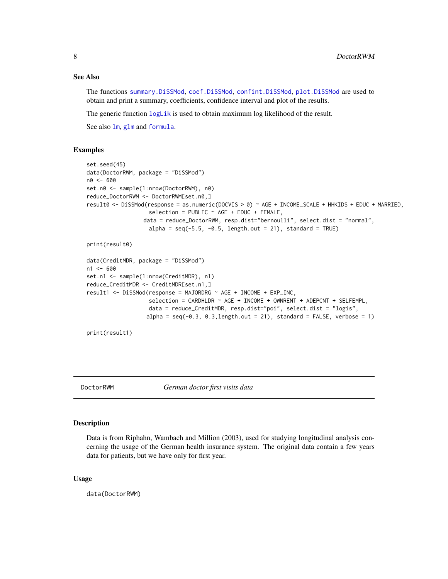#### See Also

The functions [summary.DiSSMod](#page-10-1), [coef.DiSSMod](#page-1-1), [confint.DiSSMod](#page-2-1), [plot.DiSSMod](#page-9-1) are used to obtain and print a summary, coefficients, confidence interval and plot of the results.

The generic function  $logLi\kappa$  is used to obtain maximum log likelihood of the result.

See also [lm](#page-0-0), [glm](#page-0-0) and [formula](#page-0-0).

#### Examples

```
set.seed(45)
data(DoctorRWM, package = "DiSSMod")
n0 <- 600
set.n0 <- sample(1:nrow(DoctorRWM), n0)
reduce_DoctorRWM <- DoctorRWM[set.n0,]
result0 <- DiSSMod(response = as.numeric(DOCVIS > 0) ~ AGE + INCOME_SCALE + HHKIDS + EDUC + MARRIED,
                   selection = PUBLIC ~ AGE + EDUC + FEMALE,data = reduce_DoctorRWM, resp.dist="bernoulli", select.dist = "normal",
                   alpha = seq(-5.5, -0.5, length.out = 21), standard = TRUE)
```

```
print(result0)
```

```
data(CreditMDR, package = "DiSSMod")
n1 < -600set.n1 <- sample(1:nrow(CreditMDR), n1)
reduce_CreditMDR <- CreditMDR[set.n1,]
result1 <- DiSSMod(response = MAJORDRG ~ AGE + INCOME + EXP_INC,
                  selection = CARDHLDR ~ AGE + INCOME + OWNRENT + ADEPCNT + SELFEMPL,data = reduce_CreditMDR, resp.dist="poi", select.dist = "logis",
                  alpha = seq(-0.3, 0.3, length.out = 21), standard = FALSE, verbose = 1)
```

```
print(result1)
```
DoctorRWM *German doctor first visits data*

### **Description**

Data is from Riphahn, Wambach and Million (2003), used for studying longitudinal analysis concerning the usage of the German health insurance system. The original data contain a few years data for patients, but we have only for first year.

#### Usage

data(DoctorRWM)

<span id="page-7-0"></span>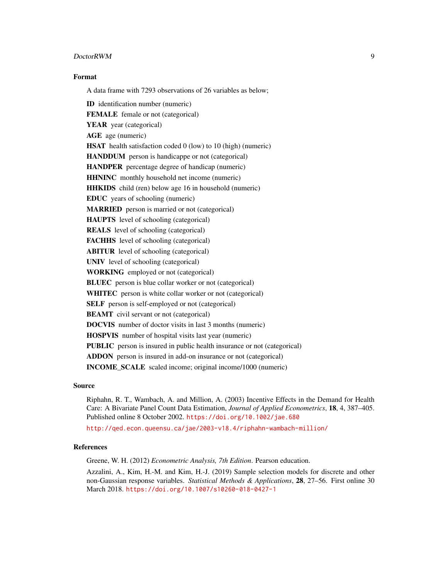#### **DoctorRWM** 9

# Format

A data frame with 7293 observations of 26 variables as below;

ID identification number (numeric) FEMALE female or not (categorical) YEAR year (categorical) AGE age (numeric) HSAT health satisfaction coded 0 (low) to 10 (high) (numeric) HANDDUM person is handicappe or not (categorical) HANDPER percentage degree of handicap (numeric) HHNINC monthly household net income (numeric) HHKIDS child (ren) below age 16 in household (numeric) EDUC years of schooling (numeric) MARRIED person is married or not (categorical) HAUPTS level of schooling (categorical) REALS level of schooling (categorical) FACHHS level of schooling (categorical) ABITUR level of schooling (categorical) UNIV level of schooling (categorical) WORKING employed or not (categorical) BLUEC person is blue collar worker or not (categorical) WHITEC person is white collar worker or not (categorical) SELF person is self-employed or not (categorical) **BEAMT** civil servant or not (categorical) DOCVIS number of doctor visits in last 3 months (numeric) HOSPVIS number of hospital visits last year (numeric) PUBLIC person is insured in public health insurance or not (categorical) ADDON person is insured in add-on insurance or not (categorical) INCOME\_SCALE scaled income; original income/1000 (numeric)

#### Source

Riphahn, R. T., Wambach, A. and Million, A. (2003) Incentive Effects in the Demand for Health Care: A Bivariate Panel Count Data Estimation, *Journal of Applied Econometrics*, 18, 4, 387–405. Published online 8 October 2002. <https://doi.org/10.1002/jae.680>

<http://qed.econ.queensu.ca/jae/2003-v18.4/riphahn-wambach-million/>

#### References

Greene, W. H. (2012) *Econometric Analysis, 7th Edition*. Pearson education.

Azzalini, A., Kim, H.-M. and Kim, H.-J. (2019) Sample selection models for discrete and other non-Gaussian response variables. *Statistical Methods & Applications*, 28, 27–56. First online 30 March 2018. <https://doi.org/10.1007/s10260-018-0427-1>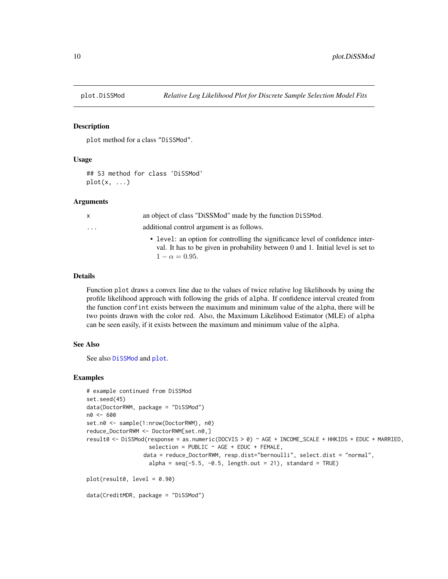<span id="page-9-1"></span><span id="page-9-0"></span>

#### Description

plot method for a class "DiSSMod".

# Usage

```
## S3 method for class 'DiSSMod'
plot(x, \ldots)
```
#### **Arguments**

| $\mathsf{X}$            | an object of class "DiSSMod" made by the function DiSSMod.                                                                                                                                 |
|-------------------------|--------------------------------------------------------------------------------------------------------------------------------------------------------------------------------------------|
| $\cdot$ $\cdot$ $\cdot$ | additional control argument is as follows.                                                                                                                                                 |
|                         | • level: an option for controlling the significance level of confidence inter-<br>val. It has to be given in probability between 0 and 1. Initial level is set to<br>$1 - \alpha = 0.95$ . |

#### Details

Function plot draws a convex line due to the values of twice relative log likelihoods by using the profile likelihood approach with following the grids of alpha. If confidence interval created from the function confint exists between the maximum and minimum value of the alpha, there will be two points drawn with the color red. Also, the Maximum Likelihood Estimator (MLE) of alpha can be seen easily, if it exists between the maximum and minimum value of the alpha.

#### See Also

See also [DiSSMod](#page-4-1) and [plot](#page-0-0).

#### Examples

```
# example continued from DiSSMod
set.seed(45)
data(DoctorRWM, package = "DiSSMod")
n0 <- 600
set.n0 <- sample(1:nrow(DoctorRWM), n0)
reduce_DoctorRWM <- DoctorRWM[set.n0,]
result0 <- DiSSMod(response = as.numeric(DOCVIS > 0) ~ AGE + INCOME_SCALE + HHKIDS + EDUC + MARRIED,
                   selection = PUBLIC ~ AGE + EDUC + FEMALE,data = reduce_DoctorRWM, resp.dist="bernoulli", select.dist = "normal",
                   alpha = seq(-5.5, -0.5, length.out = 21), standard = TRUE)
plot(result0, level = 0.90)
data(CreditMDR, package = "DiSSMod")
```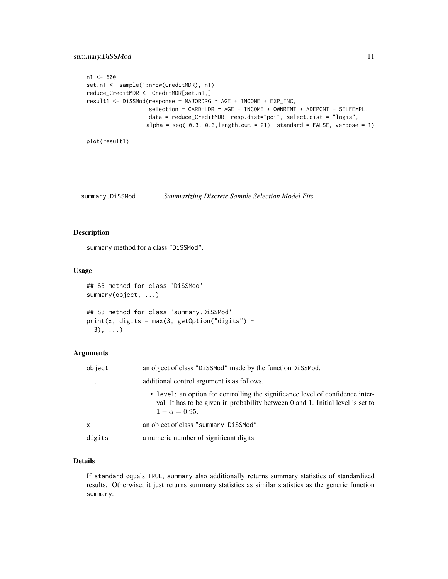```
n1 <- 600
set.n1 <- sample(1:nrow(CreditMDR), n1)
reduce_CreditMDR <- CreditMDR[set.n1,]
result1 <- DiSSMod(response = MAJORDRG ~ AGE + INCOME + EXP_INC,
                   selection = CARDHLDR ~ AGE + INCOME + OWNRENT + ADEPCNT + SELFEMPL,data = reduce_CreditMDR, resp.dist="poi", select.dist = "logis",
                  alpha = seq(-0.3, 0.3, length.out = 21), standard = FALSE, verbose = 1)
```
plot(result1)

<span id="page-10-1"></span>summary.DiSSMod *Summarizing Discrete Sample Selection Model Fits*

#### Description

summary method for a class "DiSSMod".

#### Usage

```
## S3 method for class 'DiSSMod'
summary(object, ...)
## S3 method for class 'summary.DiSSMod'
print(x, digits = max(3, getOption("digits") -3), \ldots
```
# Arguments

| object   | an object of class "DiSSMod" made by the function DiSSMod.                                                                                                                                 |
|----------|--------------------------------------------------------------------------------------------------------------------------------------------------------------------------------------------|
| $\cdots$ | additional control argument is as follows.                                                                                                                                                 |
|          | • level: an option for controlling the significance level of confidence inter-<br>val. It has to be given in probability between 0 and 1. Initial level is set to<br>$1 - \alpha = 0.95$ . |
| x        | an object of class "summary. Dissmod".                                                                                                                                                     |
| digits   | a numeric number of significant digits.                                                                                                                                                    |

### Details

If standard equals TRUE, summary also additionally returns summary statistics of standardized results. Otherwise, it just returns summary statistics as similar statistics as the generic function summary.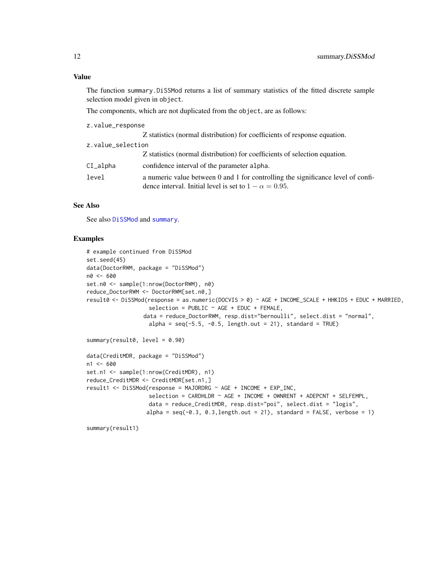# <span id="page-11-0"></span>Value

The function summary.DiSSMod returns a list of summary statistics of the fitted discrete sample selection model given in object.

The components, which are not duplicated from the object, are as follows:

| z.value_response  |                                                                                                                                                   |
|-------------------|---------------------------------------------------------------------------------------------------------------------------------------------------|
|                   | Z statistics (normal distribution) for coefficients of response equation.                                                                         |
| z.value_selection |                                                                                                                                                   |
|                   | Z statistics (normal distribution) for coefficients of selection equation.                                                                        |
| CI_alpha          | confidence interval of the parameter alpha.                                                                                                       |
| level             | a numeric value between 0 and 1 for controlling the significance level of confi-<br>dence interval. Initial level is set to $1 - \alpha = 0.95$ . |

# See Also

See also [DiSSMod](#page-4-1) and [summary](#page-0-0).

### Examples

```
# example continued from DiSSMod
set.seed(45)
data(DoctorRWM, package = "DiSSMod")
n0 <- 600
set.n0 <- sample(1:nrow(DoctorRWM), n0)
reduce_DoctorRWM <- DoctorRWM[set.n0,]
result0 <- DiSSMod(response = as.numeric(DOCVIS > 0) ~ AGE + INCOME_SCALE + HHKIDS + EDUC + MARRIED,
                   selection = PUBLIC ~ AGE + EDUC + FEMALE,data = reduce_DoctorRWM, resp.dist="bernoulli", select.dist = "normal",
                   alpha = seq(-5.5, -0.5, length.out = 21), standard = TRUE)
summary(result0, level = 0.90)
data(CreditMDR, package = "DiSSMod")
n1 < -600set.n1 <- sample(1:nrow(CreditMDR), n1)
reduce_CreditMDR <- CreditMDR[set.n1,]
result1 <- DiSSMod(response = MAJORDRG ~ AGE + INCOME + EXP_INC,
                   selection = CARDHLDR \sim AGE + INCOME + OWNRENT + ADEPCNT + SELFEMPL,
                   data = reduce_CreditMDR, resp.dist="poi", select.dist = "logis",
                  alpha = seq(-0.3, 0.3, length.out = 21), standard = FALSE, verbose = 1)
```
summary(result1)